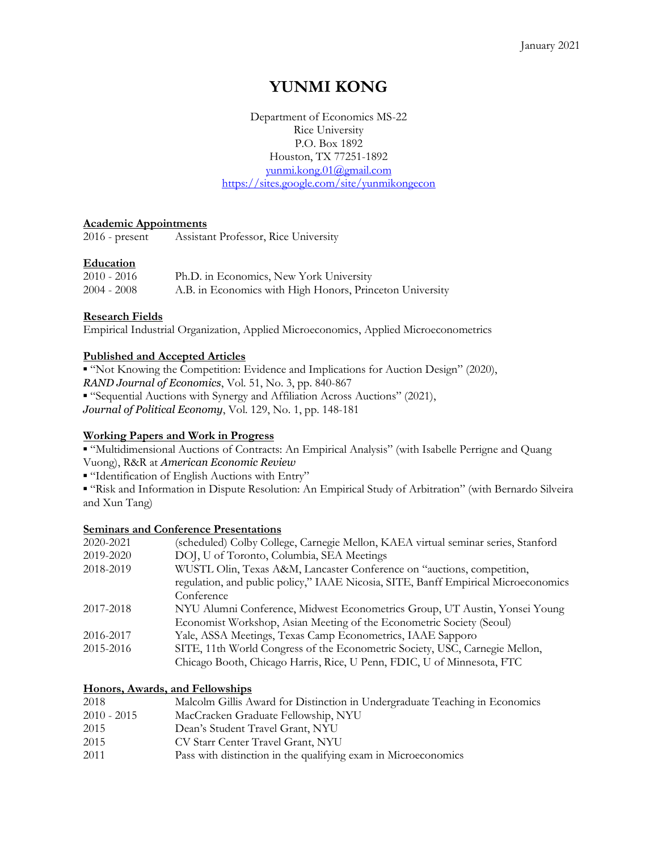# YUNMI KONG

Department of Economics MS-22 Rice University P.O. Box 1892 Houston, TX 77251-1892 yunmi.kong.01@gmail.com https://sites.google.com/site/yunmikongecon

## Academic Appointments

2016 - present Assistant Professor, Rice University

## Education

| 2010 - 2016 | Ph.D. in Economics, New York University                  |
|-------------|----------------------------------------------------------|
| 2004 - 2008 | A.B. in Economics with High Honors, Princeton University |

## Research Fields

Empirical Industrial Organization, Applied Microeconomics, Applied Microeconometrics

## Published and Accepted Articles

▪ "Not Knowing the Competition: Evidence and Implications for Auction Design" (2020), RAND Journal of Economics, Vol. 51, No. 3, pp. 840-867 ▪ "Sequential Auctions with Synergy and Affiliation Across Auctions" (2021), Journal of Political Economy, Vol. 129, No. 1, pp. 148-181

## Working Papers and Work in Progress

▪ "Multidimensional Auctions of Contracts: An Empirical Analysis" (with Isabelle Perrigne and Quang Vuong), R&R at American Economic Review

▪ "Identification of English Auctions with Entry"

▪ "Risk and Information in Dispute Resolution: An Empirical Study of Arbitration" (with Bernardo Silveira and Xun Tang)

## Seminars and Conference Presentations

| 2020-2021 | (scheduled) Colby College, Carnegie Mellon, KAEA virtual seminar series, Stanford  |
|-----------|------------------------------------------------------------------------------------|
| 2019-2020 | DOJ, U of Toronto, Columbia, SEA Meetings                                          |
| 2018-2019 | WUSTL Olin, Texas A&M, Lancaster Conference on "auctions, competition,             |
|           | regulation, and public policy," IAAE Nicosia, SITE, Banff Empirical Microeconomics |
|           | Conference                                                                         |
| 2017-2018 | NYU Alumni Conference, Midwest Econometrics Group, UT Austin, Yonsei Young         |
|           | Economist Workshop, Asian Meeting of the Econometric Society (Seoul)               |
| 2016-2017 | Yale, ASSA Meetings, Texas Camp Econometrics, IAAE Sapporo                         |
| 2015-2016 | SITE, 11th World Congress of the Econometric Society, USC, Carnegie Mellon,        |
|           | Chicago Booth, Chicago Harris, Rice, U Penn, FDIC, U of Minnesota, FTC             |

## Honors, Awards, and Fellowships

| 2018        | Malcolm Gillis Award for Distinction in Undergraduate Teaching in Economics |
|-------------|-----------------------------------------------------------------------------|
| 2010 - 2015 | MacCracken Graduate Fellowship, NYU                                         |
| 2015        | Dean's Student Travel Grant, NYU                                            |
| 2015        | CV Starr Center Travel Grant, NYU                                           |
| 2011        | Pass with distinction in the qualifying exam in Microeconomics              |